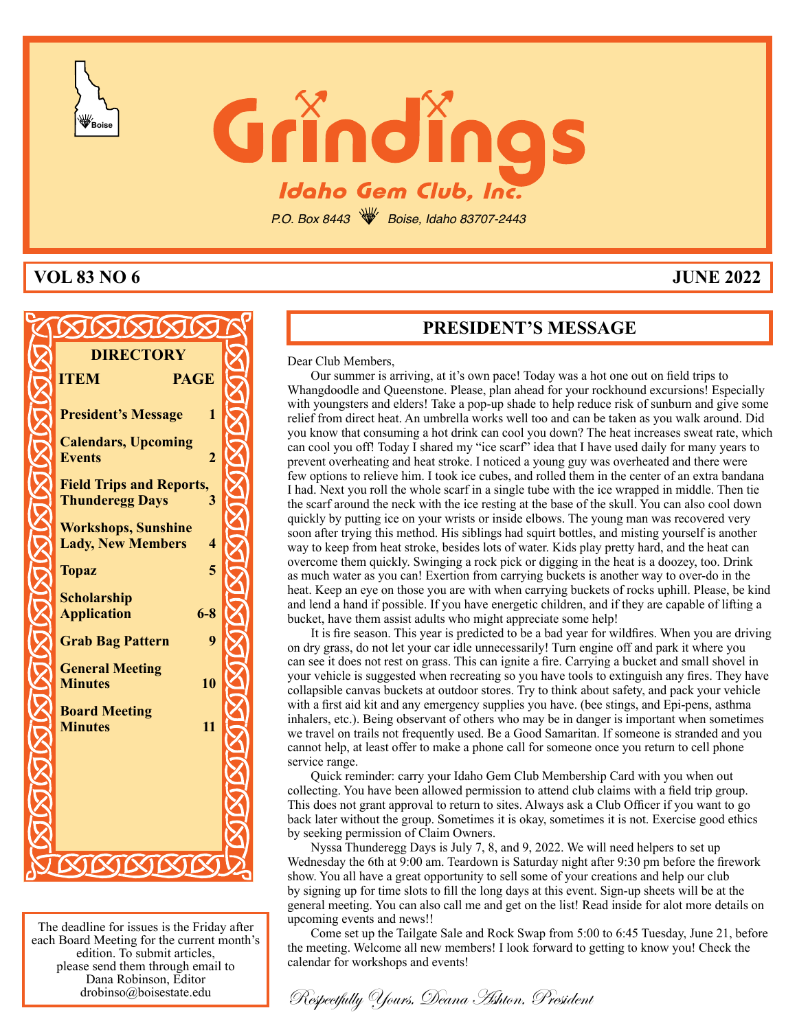



P.O. Box 8443 **W** Boise, Idaho 83707-2443

# **VOL 83 NO 6 JUNE 2022**

| <b>DIRECTORY</b>                                       |  |
|--------------------------------------------------------|--|
| <b>ITEM</b><br><b>PAGE</b>                             |  |
| 1<br><b>President's Message</b>                        |  |
| <b>Calendars, Upcoming</b>                             |  |
| $\overline{2}$<br><b>Events</b>                        |  |
| <b>Field Trips and Reports,</b>                        |  |
| $\overline{3}$<br><b>Thunderegg Days</b>               |  |
| <b>Workshops, Sunshine</b><br>$\overline{\mathcal{A}}$ |  |
| <b>Lady, New Members</b>                               |  |
| 5<br><b>Topaz</b>                                      |  |
| <b>Scholarship</b><br>$6 - 8$<br><b>Application</b>    |  |
| 9<br><b>Grab Bag Pattern</b>                           |  |
| <b>General Meeting</b>                                 |  |
| 10<br><b>Minutes</b>                                   |  |
| <b>Board Meeting</b>                                   |  |
| 11<br><b>Minutes</b>                                   |  |
|                                                        |  |
|                                                        |  |
|                                                        |  |
|                                                        |  |
|                                                        |  |

The deadline for issues is the Friday after each Board Meeting for the current month's edition. To submit articles, please send them through email to Dana Robinson, Editor drobinso@boisestate.edu

# **PRESIDENT'S MESSAGE**

Dear Club Members,

Our summer is arriving, at it's own pace! Today was a hot one out on field trips to Whangdoodle and Queenstone. Please, plan ahead for your rockhound excursions! Especially with youngsters and elders! Take a pop-up shade to help reduce risk of sunburn and give some relief from direct heat. An umbrella works well too and can be taken as you walk around. Did you know that consuming a hot drink can cool you down? The heat increases sweat rate, which can cool you off! Today I shared my "ice scarf" idea that I have used daily for many years to prevent overheating and heat stroke. I noticed a young guy was overheated and there were few options to relieve him. I took ice cubes, and rolled them in the center of an extra bandana I had. Next you roll the whole scarf in a single tube with the ice wrapped in middle. Then tie the scarf around the neck with the ice resting at the base of the skull. You can also cool down quickly by putting ice on your wrists or inside elbows. The young man was recovered very soon after trying this method. His siblings had squirt bottles, and misting yourself is another way to keep from heat stroke, besides lots of water. Kids play pretty hard, and the heat can overcome them quickly. Swinging a rock pick or digging in the heat is a doozey, too. Drink as much water as you can! Exertion from carrying buckets is another way to over-do in the heat. Keep an eye on those you are with when carrying buckets of rocks uphill. Please, be kind and lend a hand if possible. If you have energetic children, and if they are capable of lifting a bucket, have them assist adults who might appreciate some help!

It is fire season. This year is predicted to be a bad year for wildfires. When you are driving on dry grass, do not let your car idle unnecessarily! Turn engine off and park it where you can see it does not rest on grass. This can ignite a fire. Carrying a bucket and small shovel in your vehicle is suggested when recreating so you have tools to extinguish any fires. They have collapsible canvas buckets at outdoor stores. Try to think about safety, and pack your vehicle with a first aid kit and any emergency supplies you have. (bee stings, and Epi-pens, asthma inhalers, etc.). Being observant of others who may be in danger is important when sometimes we travel on trails not frequently used. Be a Good Samaritan. If someone is stranded and you cannot help, at least offer to make a phone call for someone once you return to cell phone service range.

Quick reminder: carry your Idaho Gem Club Membership Card with you when out collecting. You have been allowed permission to attend club claims with a field trip group. This does not grant approval to return to sites. Always ask a Club Officer if you want to go back later without the group. Sometimes it is okay, sometimes it is not. Exercise good ethics by seeking permission of Claim Owners.

Nyssa Thunderegg Days is July 7, 8, and 9, 2022. We will need helpers to set up Wednesday the 6th at 9:00 am. Teardown is Saturday night after 9:30 pm before the firework show. You all have a great opportunity to sell some of your creations and help our club by signing up for time slots to fill the long days at this event. Sign-up sheets will be at the general meeting. You can also call me and get on the list! Read inside for alot more details on upcoming events and news!!

Come set up the Tailgate Sale and Rock Swap from 5:00 to 6:45 Tuesday, June 21, before the meeting. Welcome all new members! I look forward to getting to know you! Check the calendar for workshops and events!

Respectfully Yours, Deana Ashton, President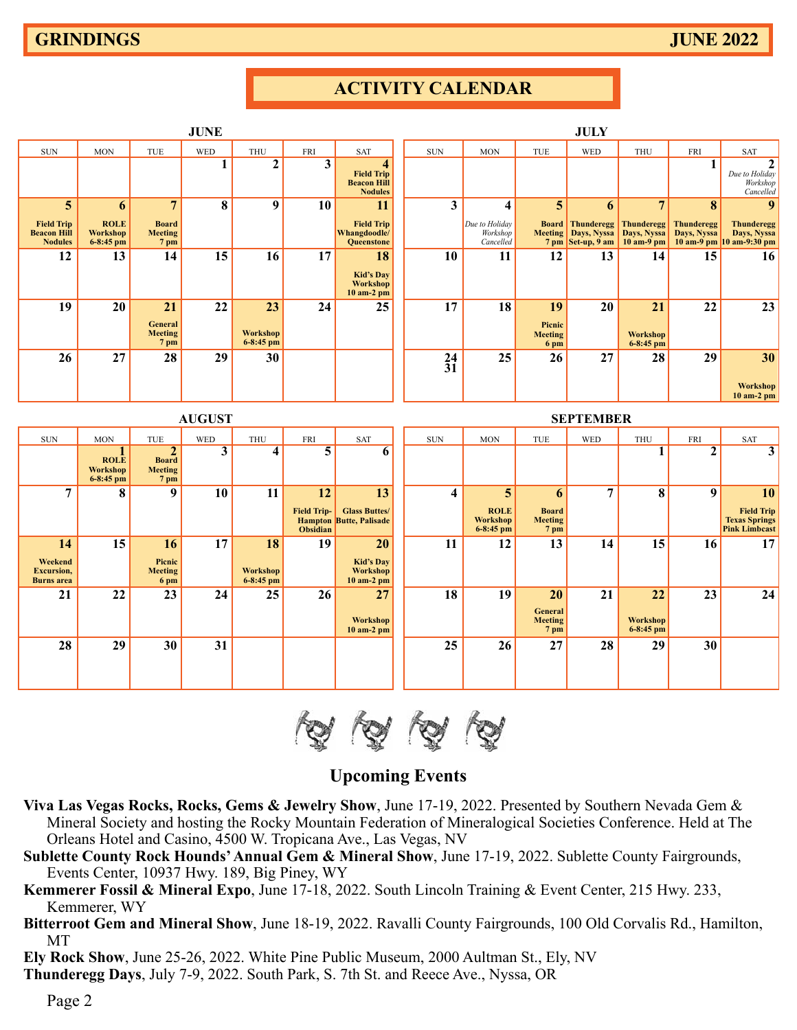**18 19 20 21 22 23 24**

**Meeting Workshop 7 pm 6-8:45 pm**

**25 26 27 28 29 30**

**General**<br>**Meeting**<br>7 pm

|                                                           |                                          |                                                          | <b>JUNE</b>    |                                |                                                  |                                                                                      |              |                                                 |                                        | <b>JULY</b>                                                           |                                                  |                           |                                                                   |
|-----------------------------------------------------------|------------------------------------------|----------------------------------------------------------|----------------|--------------------------------|--------------------------------------------------|--------------------------------------------------------------------------------------|--------------|-------------------------------------------------|----------------------------------------|-----------------------------------------------------------------------|--------------------------------------------------|---------------------------|-------------------------------------------------------------------|
| <b>SUN</b>                                                | <b>MON</b>                               | TUE                                                      | <b>WED</b>     | THU                            | <b>FRI</b>                                       | <b>SAT</b>                                                                           | $\rm SUN$    | <b>MON</b>                                      | <b>TUE</b>                             | <b>WED</b>                                                            | <b>THU</b>                                       | <b>FRI</b>                | SAT                                                               |
|                                                           |                                          |                                                          | $\mathbf{1}$   | $\overline{2}$                 | 3                                                | $\overline{\mathbf{4}}$<br><b>Field Trip</b><br><b>Beacon Hill</b><br><b>Nodules</b> |              |                                                 |                                        |                                                                       |                                                  | 1                         | $\mathbf{2}$<br>Due to Holiday<br>Workshop<br>Cancelled           |
| 5                                                         | 6                                        | $\overline{7}$                                           | 8              | 9                              | 10                                               | 11                                                                                   | 3            | $\overline{\mathbf{4}}$                         | 5                                      | 6                                                                     | $7\phantom{.0}$                                  | 8                         | 9                                                                 |
| <b>Field Trip</b><br><b>Beacon Hill</b><br><b>Nodules</b> | <b>ROLE</b><br>Workshop<br>$6 - 8:45$ pm | <b>Board</b><br><b>Meeting</b><br>7 <sub>pm</sub>        |                |                                |                                                  | <b>Field Trip</b><br>Whangdoodle/<br><b>Queenstone</b>                               |              | Due to Holiday<br>Workshop<br>Cancelled         |                                        | <b>Board</b> Thunderegg<br>Meeting   Days, Nyssa<br>7 pm Set-up, 9 am | <b>Thunderegg</b><br>Days, Nyssa<br>$10$ am-9 pm | Thunderegg<br>Days, Nyssa | <b>Thunderegg</b><br>Days, Nyssa<br>10 am-9 pm 10 am-9:30 pm      |
| 12                                                        | 13                                       | 14                                                       | 15             | 16                             | 17                                               | 18                                                                                   | 10           | 11                                              | 12                                     | 13                                                                    | 14                                               | 15                        | 16                                                                |
|                                                           |                                          |                                                          |                |                                |                                                  | <b>Kid's Day</b><br>Workshop<br>$10$ am-2 pm                                         |              |                                                 |                                        |                                                                       |                                                  |                           |                                                                   |
| 19                                                        | 20                                       | 21                                                       | 22             | 23                             | 24                                               | 25                                                                                   | 17           | 18                                              | 19                                     | 20                                                                    | 21                                               | 22                        | 23                                                                |
|                                                           |                                          | General<br><b>Meeting</b><br>7 pm                        |                | <b>Workshop</b><br>$6-8:45$ pm |                                                  |                                                                                      |              |                                                 | Picnic<br>Meeting<br>6 pm              |                                                                       | <b>Workshop</b><br>$6 - 8:45$ pm                 |                           |                                                                   |
| 26                                                        | 27                                       | 28                                                       | 29             | 30                             |                                                  |                                                                                      | $^{24}_{31}$ | 25                                              | 26                                     | 27                                                                    | 28                                               | 29                        | 30                                                                |
|                                                           |                                          |                                                          |                |                                |                                                  |                                                                                      |              |                                                 |                                        |                                                                       |                                                  |                           | <b>Workshop</b><br>10 am-2 pm                                     |
|                                                           |                                          |                                                          | <b>AUGUST</b>  |                                |                                                  |                                                                                      |              |                                                 |                                        | <b>SEPTEMBER</b>                                                      |                                                  |                           |                                                                   |
| $\rm SUN$                                                 | <b>MON</b>                               | TUE                                                      | <b>WED</b>     | THU                            | <b>FRI</b>                                       | SAT                                                                                  | $\rm SUN$    | <b>MON</b>                                      | TUE                                    | <b>WED</b>                                                            | <b>THU</b>                                       | FRI                       | <b>SAT</b>                                                        |
|                                                           | <b>ROLE</b><br>Workshop<br>$6 - 8:45$ pm | $\overline{2}$<br><b>Board</b><br><b>Meeting</b><br>7 pm | $\overline{3}$ | 4                              | $\overline{\mathbf{5}}$                          | 6                                                                                    |              |                                                 |                                        |                                                                       | 1                                                | $\boldsymbol{2}$          | $\overline{\mathbf{3}}$                                           |
| 7                                                         | 8                                        | 9                                                        | 10             | 11                             | 12                                               | $\overline{13}$                                                                      | 4            | 5                                               | 6                                      | 7                                                                     | 8                                                | 9                         | 10                                                                |
|                                                           |                                          |                                                          |                |                                | <b>Field Trip-</b><br><b>Hampton</b><br>Obsidian | <b>Glass Buttes/</b><br><b>Butte, Palisade</b>                                       |              | <b>ROLE</b><br><b>Workshop</b><br>$6 - 8:45$ pm | <b>Board</b><br><b>Meeting</b><br>7 pm |                                                                       |                                                  |                           | <b>Field Trip</b><br><b>Texas Springs</b><br><b>Pink Limbcast</b> |
| 14                                                        | 15                                       | 16                                                       | 17             | 18                             | 19                                               | 20                                                                                   | 11           | 12                                              | 13                                     | 14                                                                    | 15                                               | 16                        | 17                                                                |
| Weekend                                                   |                                          | Picnic                                                   |                |                                |                                                  | <b>Kid's Dav</b>                                                                     |              |                                                 |                                        |                                                                       |                                                  |                           |                                                                   |

# **ACTIVITY CALENDAR**



**Workshop 10 am-2 pm**

# **Upcoming Events**

- **Viva Las Vegas Rocks, Rocks, Gems & Jewelry Show**, June 17-19, 2022. Presented by Southern Nevada Gem & Mineral Society and hosting the Rocky Mountain Federation of Mineralogical Societies Conference. Held at The Orleans Hotel and Casino, 4500 W. Tropicana Ave., Las Vegas, NV
- **Sublette County Rock Hounds' Annual Gem & Mineral Show**, June 17-19, 2022. Sublette County Fairgrounds, Events Center, 10937 Hwy. 189, Big Piney, WY
- **Kemmerer Fossil & Mineral Expo**, June 17-18, 2022. South Lincoln Training & Event Center, 215 Hwy. 233, Kemmerer, WY
- **Bitterroot Gem and Mineral Show**, June 18-19, 2022. Ravalli County Fairgrounds, 100 Old Corvalis Rd., Hamilton, MT

**Ely Rock Show**, June 25-26, 2022. White Pine Public Museum, 2000 Aultman St., Ely, NV

**Thunderegg Days**, July 7-9, 2022. South Park, S. 7th St. and Reece Ave., Nyssa, OR

**21 22 23 24 25 26 27**

**Excursion, Meeting Workshop Workshop Burns area 6 pm 6-8:45 pm 10 am-2 pm**

**28 29 30 31**

Page 2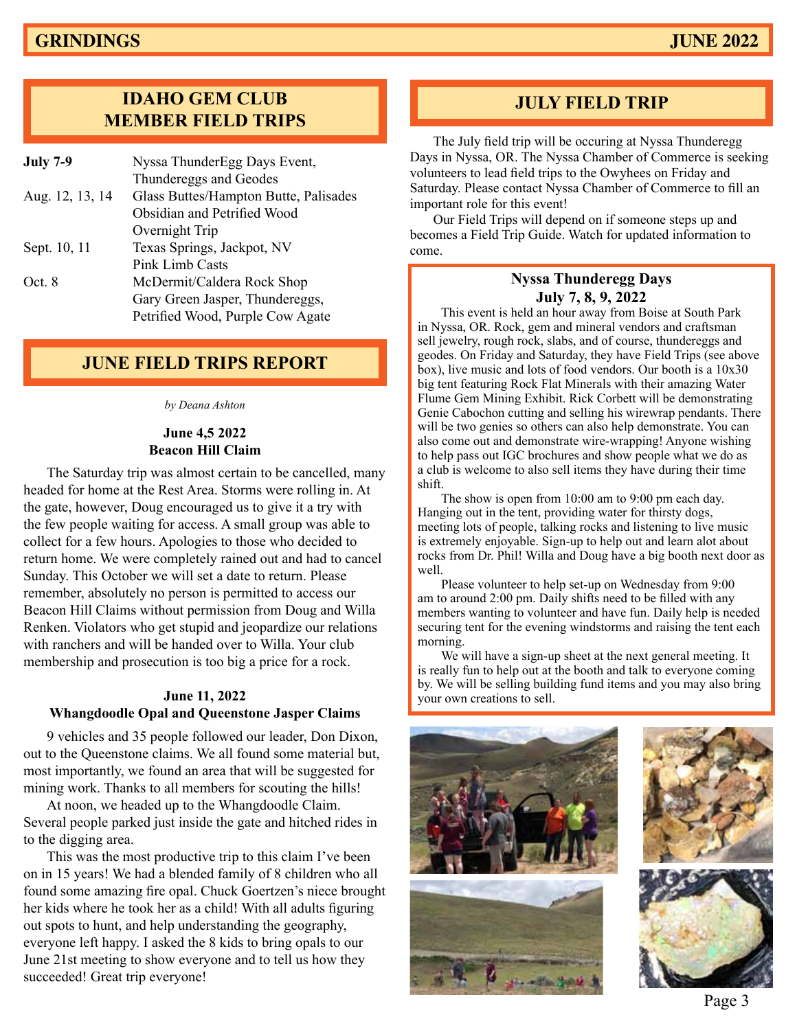# **IDAHO GEM CLUB MEMBER FIELD TRIPS**

| <b>July 7-9</b> | Nyssa ThunderEgg Days Event,          |
|-----------------|---------------------------------------|
|                 | Thundereggs and Geodes                |
| Aug. 12, 13, 14 | Glass Buttes/Hampton Butte, Palisades |
|                 | Obsidian and Petrified Wood           |
|                 | Overnight Trip                        |
| Sept. 10, 11    | Texas Springs, Jackpot, NV            |
|                 | Pink Limb Casts                       |
| Oct. 8          | McDermit/Caldera Rock Shop            |
|                 | Gary Green Jasper, Thundereggs,       |
|                 | Petrified Wood, Purple Cow Agate      |
|                 |                                       |

# **JUNE FIELD TRIPS REPORT**

*by Deana Ashton*

#### **June 4,5 2022 Beacon Hill Claim**

The Saturday trip was almost certain to be cancelled, many headed for home at the Rest Area. Storms were rolling in. At the gate, however, Doug encouraged us to give it a try with the few people waiting for access. A small group was able to collect for a few hours. Apologies to those who decided to return home. We were completely rained out and had to cancel Sunday. This October we will set a date to return. Please remember, absolutely no person is permitted to access our Beacon Hill Claims without permission from Doug and Willa Renken. Violators who get stupid and jeopardize our relations with ranchers and will be handed over to Willa. Your club membership and prosecution is too big a price for a rock.

#### **June 11, 2022 Whangdoodle Opal and Queenstone Jasper Claims**

9 vehicles and 35 people followed our leader, Don Dixon, out to the Queenstone claims. We all found some material but, most importantly, we found an area that will be suggested for mining work. Thanks to all members for scouting the hills!

At noon, we headed up to the Whangdoodle Claim. Several people parked just inside the gate and hitched rides in to the digging area.

This was the most productive trip to this claim I've been on in 15 years! We had a blended family of 8 children who all found some amazing fire opal. Chuck Goertzen's niece brought her kids where he took her as a child! With all adults figuring out spots to hunt, and help understanding the geography, everyone left happy. I asked the 8 kids to bring opals to our June 21st meeting to show everyone and to tell us how they succeeded! Great trip everyone!

# **JULY FIELD TRIP**

The July field trip will be occuring at Nyssa Thunderegg Days in Nyssa, OR. The Nyssa Chamber of Commerce is seeking volunteers to lead field trips to the Owyhees on Friday and Saturday. Please contact Nyssa Chamber of Commerce to fill an important role for this event!

Our Field Trips will depend on if someone steps up and becomes a Field Trip Guide. Watch for updated information to come.

#### **Nyssa Thunderegg Days July 7, 8, 9, 2022**

This event is held an hour away from Boise at South Park in Nyssa, OR. Rock, gem and mineral vendors and craftsman sell jewelry, rough rock, slabs, and of course, thundereggs and geodes. On Friday and Saturday, they have Field Trips (see above box), live music and lots of food vendors. Our booth is a 10x30 big tent featuring Rock Flat Minerals with their amazing Water Flume Gem Mining Exhibit. Rick Corbett will be demonstrating Genie Cabochon cutting and selling his wirewrap pendants. There will be two genies so others can also help demonstrate. You can also come out and demonstrate wire-wrapping! Anyone wishing to help pass out IGC brochures and show people what we do as a club is welcome to also sell items they have during their time shift.

The show is open from 10:00 am to 9:00 pm each day. Hanging out in the tent, providing water for thirsty dogs, meeting lots of people, talking rocks and listening to live music is extremely enjoyable. Sign-up to help out and learn alot about rocks from Dr. Phil! Willa and Doug have a big booth next door as well.

Please volunteer to help set-up on Wednesday from 9:00 am to around 2:00 pm. Daily shifts need to be filled with any members wanting to volunteer and have fun. Daily help is needed securing tent for the evening windstorms and raising the tent each morning.

We will have a sign-up sheet at the next general meeting. It is really fun to help out at the booth and talk to everyone coming by. We will be selling building fund items and you may also bring your own creations to sell.



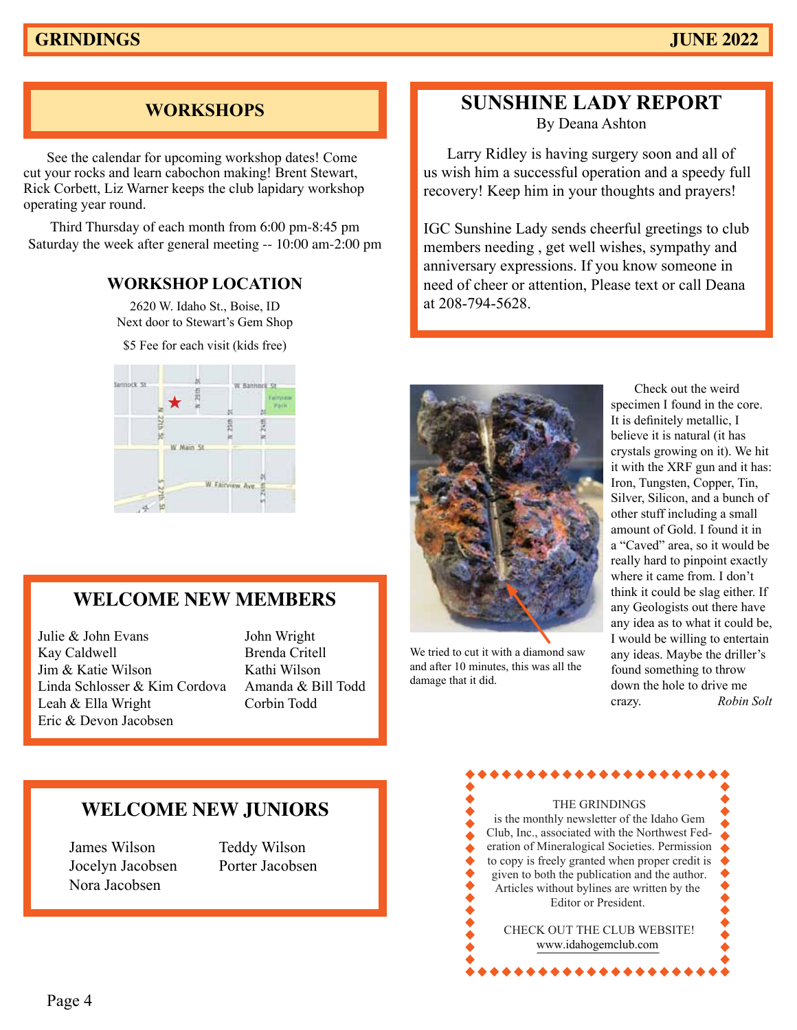# **WORKSHOPS**

See the calendar for upcoming workshop dates! Come cut your rocks and learn cabochon making! Brent Stewart, Rick Corbett, Liz Warner keeps the club lapidary workshop operating year round.

Third Thursday of each month from 6:00 pm-8:45 pm Saturday the week after general meeting -- 10:00 am-2:00 pm

#### **WORKSHOP LOCATION**

2620 W. Idaho St., Boise, ID Next door to Stewart's Gem Shop

\$5 Fee for each visit (kids free)



# **WELCOME NEW MEMBERS**

Julie & John Evans John Wright Kay Caldwell Brenda Critell Jim & Katie Wilson Kathi Wilson Linda Schlosser & Kim Cordova Amanda & Bill Todd Leah & Ella Wright Corbin Todd Eric & Devon Jacobsen

# **SUNSHINE LADY REPORT**

By Deana Ashton

Larry Ridley is having surgery soon and all of us wish him a successful operation and a speedy full recovery! Keep him in your thoughts and prayers!

IGC Sunshine Lady sends cheerful greetings to club members needing , get well wishes, sympathy and anniversary expressions. If you know someone in need of cheer or attention, Please text or call Deana at 208-794-5628.



We tried to cut it with a diamond saw and after 10 minutes, this was all the damage that it did.

**Two links** any idea as to what it could be, **i f** would be willing to entertain ith a diamond saw any ideas. Maybe the driller's is was all the found something to throw down the hole to drive me crazy. **p://amfed.org/news/default.htm** Silver, Silicon, and a bunch of  $T_{\text{t}}$  on  $\alpha$ .  $\bullet$  ther stuff including a small  $M<sub>1</sub>$  amount of Gold. I found it in a "Caved" area, so it would be Check out the weird specimen I found in the core. It is definitely metallic, I believe it is natural (it has crystals growing on it). We hit it with the XRF gun and it has: Iron, Tungsten, Copper, Tin, really hard to pinpoint exactly where it came from. I don't think it could be slag either. If any Geologists out there have crazy. *Robin Solt*

# **WELCOME NEW JUNIORS**

James Wilson Teddy Wilson Jocelyn Jacobsen Porter Jacobsen Nora Jacobsen

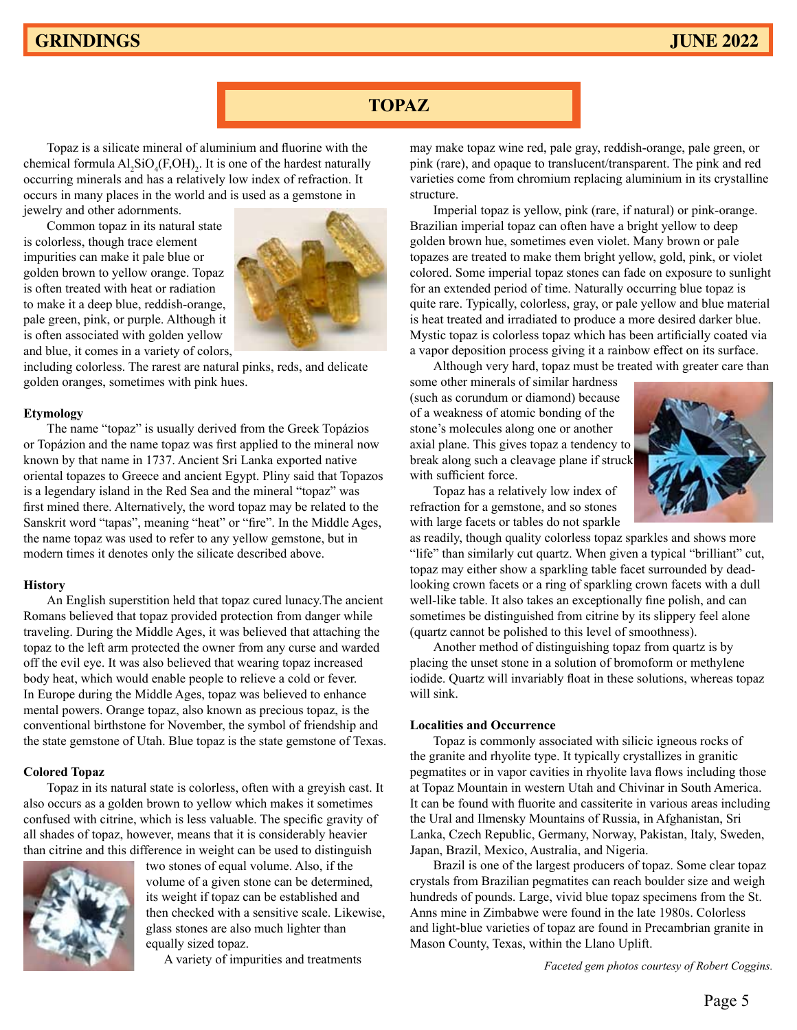# **GRINDINGS JUNE 2022**

# **TOPAZ**

Topaz is a silicate mineral of aluminium and fluorine with the chemical formula  $AI_2SiO_4(F,OH)_2$ . It is one of the hardest naturally occurring minerals and has a relatively low index of refraction. It occurs in many places in the world and is used as a gemstone in jewelry and other adornments.

Common topaz in its natural state is colorless, though trace element impurities can make it pale blue or golden brown to yellow orange. Topaz is often treated with heat or radiation to make it a deep blue, reddish-orange, pale green, pink, or purple. Although it is often associated with golden yellow and blue, it comes in a variety of colors,



including colorless. The rarest are natural pinks, reds, and delicate golden oranges, sometimes with pink hues.

#### **Etymology**

The name "topaz" is usually derived from the Greek Τοpáziοs or Τοpáziοn and the name topaz was first applied to the mineral now known by that name in 1737. Ancient Sri Lanka exported native oriental topazes to Greece and ancient Egypt. Pliny said that Topazos is a legendary island in the Red Sea and the mineral "topaz" was first mined there. Alternatively, the word topaz may be related to the Sanskrit word "tapas", meaning "heat" or "fire". In the Middle Ages, the name topaz was used to refer to any yellow gemstone, but in modern times it denotes only the silicate described above.

#### **History**

An English superstition held that topaz cured lunacy.The ancient Romans believed that topaz provided protection from danger while traveling. During the Middle Ages, it was believed that attaching the topaz to the left arm protected the owner from any curse and warded off the evil eye. It was also believed that wearing topaz increased body heat, which would enable people to relieve a cold or fever. In Europe during the Middle Ages, topaz was believed to enhance mental powers. Orange topaz, also known as precious topaz, is the conventional birthstone for November, the symbol of friendship and the state gemstone of Utah. Blue topaz is the state gemstone of Texas.

#### **Colored Topaz**

Topaz in its natural state is colorless, often with a greyish cast. It also occurs as a golden brown to yellow which makes it sometimes confused with citrine, which is less valuable. The specific gravity of all shades of topaz, however, means that it is considerably heavier than citrine and this difference in weight can be used to distinguish



two stones of equal volume. Also, if the volume of a given stone can be determined, its weight if topaz can be established and then checked with a sensitive scale. Likewise, glass stones are also much lighter than equally sized topaz.

A variety of impurities and treatments

may make topaz wine red, pale gray, reddish-orange, pale green, or pink (rare), and opaque to translucent/transparent. The pink and red varieties come from chromium replacing aluminium in its crystalline structure.

Imperial topaz is yellow, pink (rare, if natural) or pink-orange. Brazilian imperial topaz can often have a bright yellow to deep golden brown hue, sometimes even violet. Many brown or pale topazes are treated to make them bright yellow, gold, pink, or violet colored. Some imperial topaz stones can fade on exposure to sunlight for an extended period of time. Naturally occurring blue topaz is quite rare. Typically, colorless, gray, or pale yellow and blue material is heat treated and irradiated to produce a more desired darker blue. Mystic topaz is colorless topaz which has been artificially coated via a vapor deposition process giving it a rainbow effect on its surface.

Although very hard, topaz must be treated with greater care than some other minerals of similar hardness (such as corundum or diamond) because of a weakness of atomic bonding of the stone's molecules along one or another axial plane. This gives topaz a tendency to break along such a cleavage plane if struck with sufficient force.



Topaz has a relatively low index of refraction for a gemstone, and so stones with large facets or tables do not sparkle

as readily, though quality colorless topaz sparkles and shows more "life" than similarly cut quartz. When given a typical "brilliant" cut, topaz may either show a sparkling table facet surrounded by deadlooking crown facets or a ring of sparkling crown facets with a dull well-like table. It also takes an exceptionally fine polish, and can sometimes be distinguished from citrine by its slippery feel alone (quartz cannot be polished to this level of smoothness).

Another method of distinguishing topaz from quartz is by placing the unset stone in a solution of bromoform or methylene iodide. Quartz will invariably float in these solutions, whereas topaz will sink.

#### **Localities and Occurrence**

Topaz is commonly associated with silicic igneous rocks of the granite and rhyolite type. It typically crystallizes in granitic pegmatites or in vapor cavities in rhyolite lava flows including those at Topaz Mountain in western Utah and Chivinar in South America. It can be found with fluorite and cassiterite in various areas including the Ural and Ilmensky Mountains of Russia, in Afghanistan, Sri Lanka, Czech Republic, Germany, Norway, Pakistan, Italy, Sweden, Japan, Brazil, Mexico, Australia, and Nigeria.

Brazil is one of the largest producers of topaz. Some clear topaz crystals from Brazilian pegmatites can reach boulder size and weigh hundreds of pounds. Large, vivid blue topaz specimens from the St. Anns mine in Zimbabwe were found in the late 1980s. Colorless and light-blue varieties of topaz are found in Precambrian granite in Mason County, Texas, within the Llano Uplift.

*Faceted gem photos courtesy of Robert Coggins.*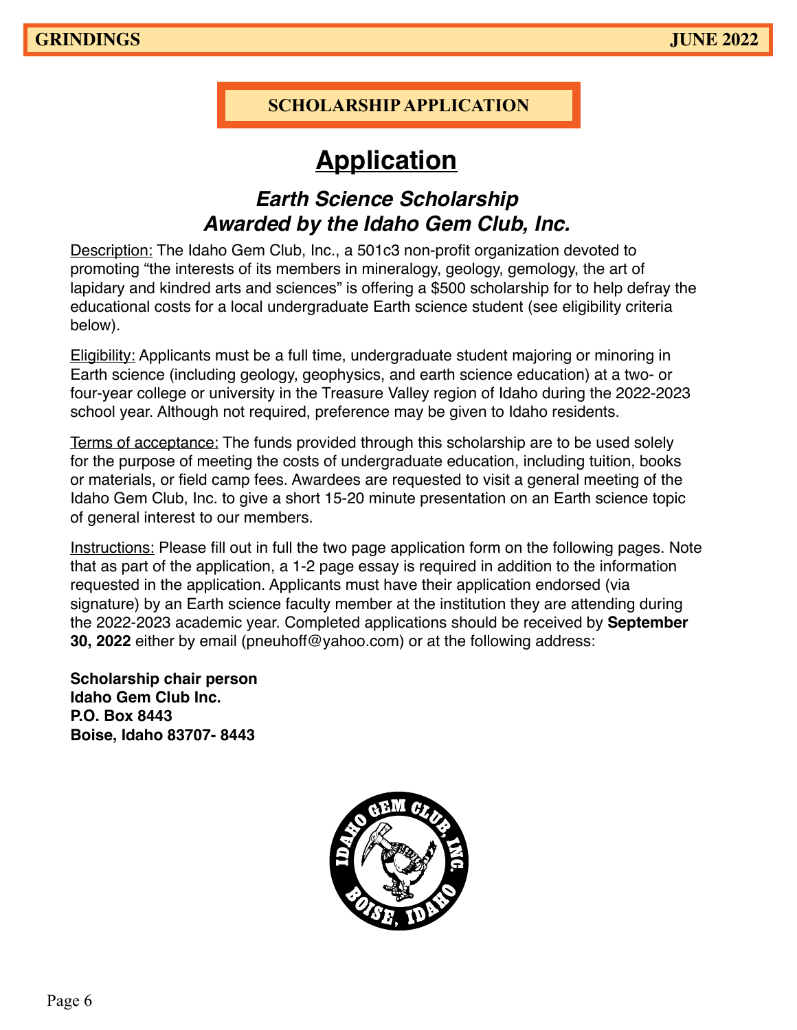# **SCHOLARSHIP APPLICATION**

# **Application**

# **Earth Science Scholarship Awarded by the Idaho Gem Club, Inc.**

Description: The Idaho Gem Club, Inc., a 501c3 non-profit organization devoted to promoting "the interests of its members in mineralogy, geology, gemology, the art of lapidary and kindred arts and sciences" is offering a \$500 scholarship for to help defray the educational costs for a local undergraduate Earth science student (see eligibility criteria below).

Eligibility: Applicants must be a full time, undergraduate student majoring or minoring in Earth science (including geology, geophysics, and earth science education) at a two- or four-year college or university in the Treasure Valley region of Idaho during the 2022-2023 school year. Although not required, preference may be given to Idaho residents.

Terms of acceptance: The funds provided through this scholarship are to be used solely for the purpose of meeting the costs of undergraduate education, including tuition, books or materials, or field camp fees. Awardees are requested to visit a general meeting of the Idaho Gem Club, Inc. to give a short 15-20 minute presentation on an Earth science topic of general interest to our members.

Instructions: Please fill out in full the two page application form on the following pages. Note that as part of the application, a 1-2 page essay is required in addition to the information requested in the application. Applicants must have their application endorsed (via signature) by an Earth science faculty member at the institution they are attending during the 2022-2023 academic year. Completed applications should be received by **September 30, 2022** either by email (pneuhoff@yahoo.com) or at the following address:

**Scholarship chair person Idaho Gem Club Inc. P.O. Box 8443 Boise, Idaho 83707- 8443**

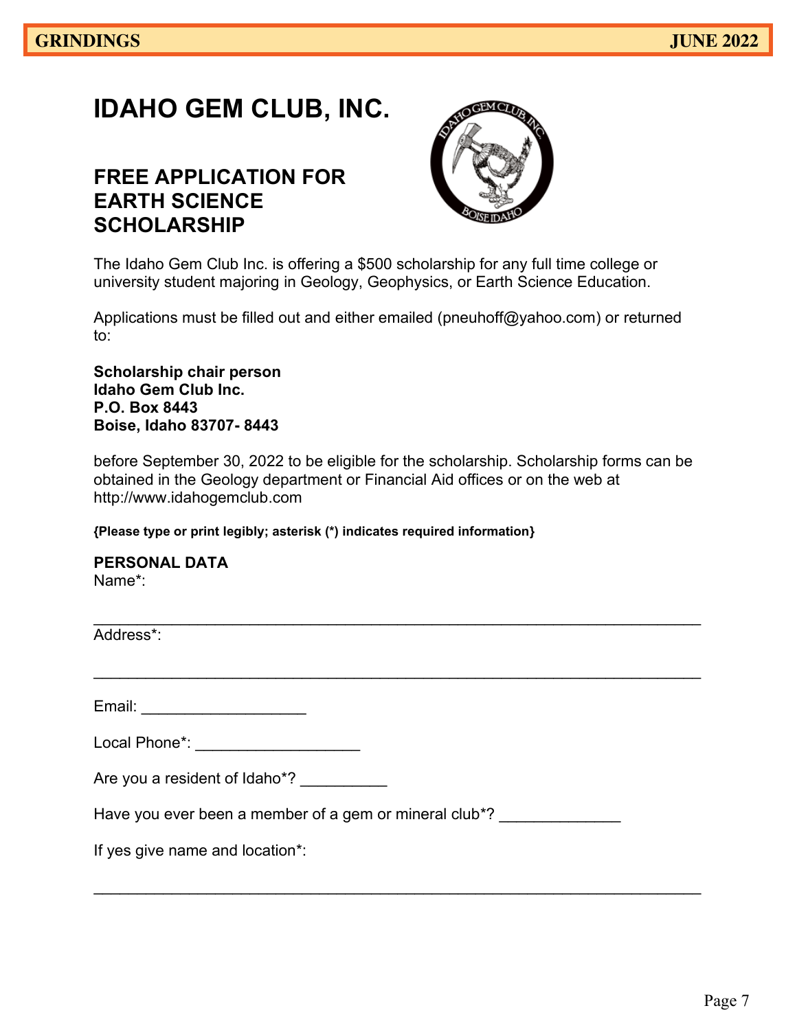# **IDAHO GEM CLUB, INC.**

# **FREE APPLICATION FOR EARTH SCIENCE SCHOLARSHIP**



The Idaho Gem Club Inc. is offering a \$500 scholarship for any full time college or university student majoring in Geology, Geophysics, or Earth Science Education.

Applications must be filled out and either emailed (pneuhoff@yahoo.com) or returned to:

**Scholarship chair person Idaho Gem Club Inc. P.O. Box 8443 Boise, Idaho 83707- 8443**

before September 30, 2022 to be eligible for the scholarship. Scholarship forms can be obtained in the Geology department or Financial Aid offices or on the web at http://www.idahogemclub.com

\_\_\_\_\_\_\_\_\_\_\_\_\_\_\_\_\_\_\_\_\_\_\_\_\_\_\_\_\_\_\_\_\_\_\_\_\_\_\_\_\_\_\_\_\_\_\_\_\_\_\_\_\_\_\_\_\_\_\_\_\_\_\_\_\_\_\_\_\_\_

 $\overline{\phantom{a}}$  , and the contribution of the contribution of the contribution of the contribution of the contribution of the contribution of the contribution of the contribution of the contribution of the contribution of the

**{Please type or print legibly; asterisk (\*) indicates required information}** 

**PERSONAL DATA** Name\*:

 $\mathcal{L}_\text{max}$  , and the contribution of the contribution of the contribution of the contribution of the contribution of the contribution of the contribution of the contribution of the contribution of the contribution of t Address\*:

Email: **Email:**  $\blacksquare$ 

| Local Phone*: |  |  |
|---------------|--|--|
|---------------|--|--|

| Are you a resident of Idaho*? |  |
|-------------------------------|--|
|                               |  |

Have you ever been a member of a gem or mineral club\*?

If yes give name and location\*: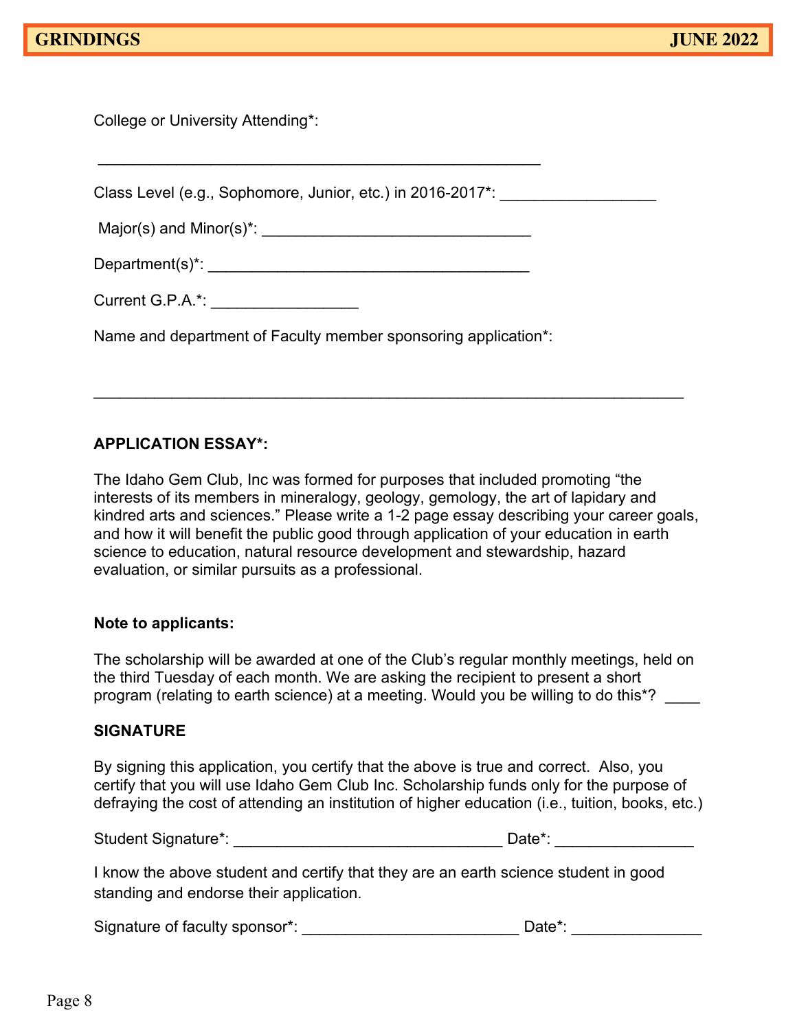College or University Attending\*:

Class Level (e.g., Sophomore, Junior, etc.) in 2016-2017\*:  $Major(s)$  and  $Minor(s)^*$ :

Department(s)\*: \_\_\_\_\_\_\_\_\_\_\_\_\_\_\_\_\_\_\_\_\_\_\_\_\_\_\_\_\_\_\_\_\_\_\_\_\_

 $\overline{\phantom{a}}$  , and the contribution of the contribution of  $\overline{\phantom{a}}$  , and  $\overline{\phantom{a}}$  , and  $\overline{\phantom{a}}$  , and  $\overline{\phantom{a}}$  , and  $\overline{\phantom{a}}$  , and  $\overline{\phantom{a}}$  , and  $\overline{\phantom{a}}$  , and  $\overline{\phantom{a}}$  , and  $\overline{\phantom{a}}$  , and

Current G.P.A.\*:

Name and department of Faculty member sponsoring application\*:

# **APPLICATION ESSAY\*:**

The Idaho Gem Club, Inc was formed for purposes that included promoting "the interests of its members in mineralogy, geology, gemology, the art of lapidary and kindred arts and sciences." Please write a 1-2 page essay describing your career goals, and how it will benefit the public good through application of your education in earth science to education, natural resource development and stewardship, hazard evaluation, or similar pursuits as a professional.

 $\overline{\phantom{a}}$  , and the contribution of the contribution of the contribution of the contribution of the contribution of the contribution of the contribution of the contribution of the contribution of the contribution of the

### **Note to applicants:**

The scholarship will be awarded at one of the Club's regular monthly meetings, held on the third Tuesday of each month. We are asking the recipient to present a short program (relating to earth science) at a meeting. Would you be willing to do this\*? \_\_\_\_

### **SIGNATURE**

By signing this application, you certify that the above is true and correct. Also, you certify that you will use Idaho Gem Club Inc. Scholarship funds only for the purpose of defraying the cost of attending an institution of higher education (i.e., tuition, books, etc.)

| <b>Student Signature*:</b> | Date*: |  |
|----------------------------|--------|--|
|                            |        |  |

I know the above student and certify that they are an earth science student in good standing and endorse their application.

Signature of faculty sponsor\*: \_\_\_\_\_\_\_\_\_\_\_\_\_\_\_\_\_\_\_\_\_\_\_\_\_\_\_\_\_\_\_\_\_Date\*: \_\_\_\_\_\_\_\_\_\_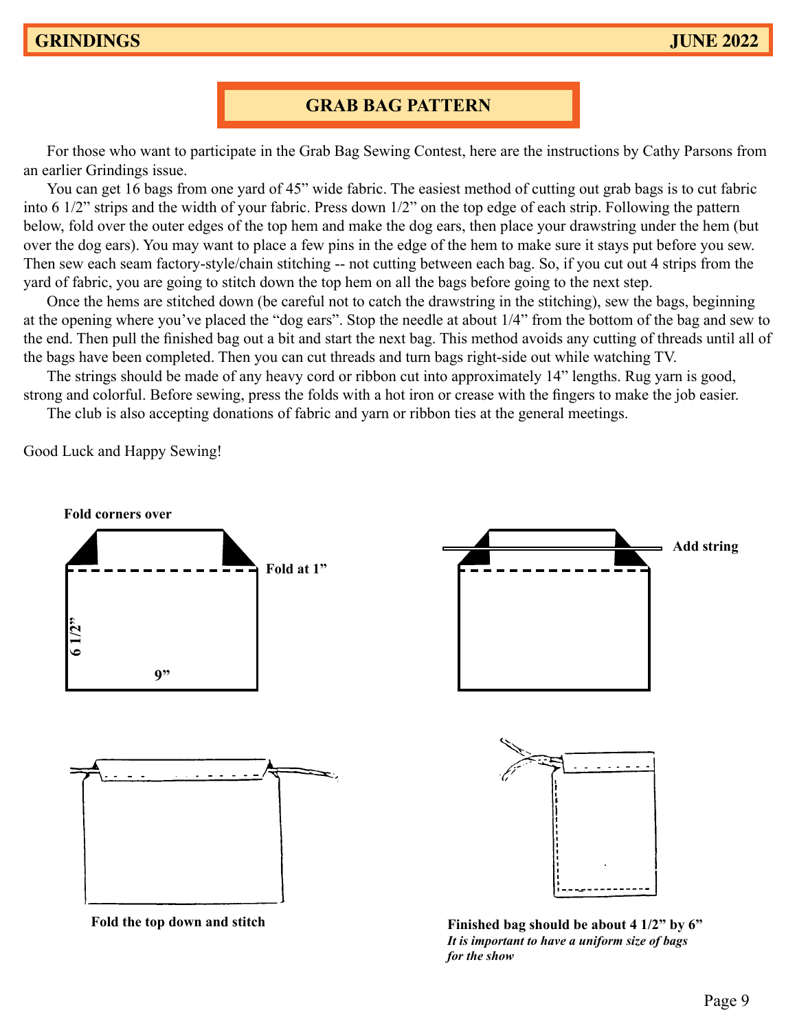**GRINDINGS September 2010**

# **GRAB BAG PATTERN**

**GRINDINGS AND SEPTEMBER 2010** AND SEPTEMBER 2010 AND SEPTEMBER 2010 AND SEPTEMBER 2010 AND SEPTEMBER 2010 AND SEPTEMBER 2010 AND SEPTEMBER 2010 AND SEPTEMBER 2010 AND SEPTEMBER 2010 AND SEPTEMBER 2010 AND SEPTEMBER 2010 A

For those who want to participate in the Grab Bag Sewing Contest, here are the instructions by Cathy Parsons from an earlier Grindings issue. For the new people, one can perfect sells grad bags filled with polished rocks at the show in February. We have the show in February. We have a the show in February. We have the show in February. We have the show in Febru For the new people, our club sells grab bags filled with polished rocks at the show in February. We

You can get 16 bags from one yard of 45" wide fabric. The easiest method of cutting out grab bags is to cut fabric into 6 1/2" strips and the width of your fabric. Press down 1/2" on the top edge of each strip. Following the pattern below, fold over the outer edges of the top hem and make the dog ears, then place your drawstring under the hem (but over the dog ears). You may want to place a few pins in the edge of the hem to make sure it stays put before you sew. Then sew each seam factory-style/chain stitching -- not cutting between each bag. So, if you cut out 4 strips from the yard of fabric, you are going to stitch down the top hem on all the bags before going to the next step.  $\frac{1}{2}$  and  $\frac{1}{2}$  always hold one yard of  $\frac{1}{2}$  which abits, the cases include of cutting our grav bags is to cut fabile  $\frac{1}{2}$  strips and the width of your fabric. Press down  $\frac{1}{2}$  on the top edge of each strip. Following the pattern fold over the other edges of the top hem and make the dog cars, then place your drawstring under the hem (but  $\frac{1}{2}$ the bag ears). You may want to place a few pins in the edge of the hem to make sure it stays put before you sew.  $\frac{1}{2}$  can see the method y-style  $\mathbf y$  yard of 45° wide fabric. The easiest method of cutting out grab bags is to cut fabric

Once the hems are stitched down (be careful not to catch the drawstring in the stitching), sew the bags, beginning at the opening where you've placed the "dog ears". Stop the needle at about 1/4" from the bottom of the bag and sew to the end. Then pull the finished bag out a bit and start the next bag. This method avoids any cutting of threads until all of the bags have been completed. Then you can cut threads and turn bags right-side out while watching TV.  $\mathcal{L}$  are fields are sub- $\frac{1}{2}$  in the official strip in the fold strip in the fold (you can cut on fold  $\frac{1}{2}$  inch pieces. Cut will be  $\frac{1}{2}$  in the  $\frac{1}{2}$  inch pieces. Cut each of  $\frac{1}{2}$  inch pieces. Cut each of  $\frac{1}{2}$  inch p

The strings should be made of any heavy cord or ribbon cut into approximately 14" lengths. Rug yarn is good, strong and colorful. Before sewing, press the folds with a hot iron or crease with the fingers to make the job easier. the strings should be made of any heavy cord or ribbon cut into approximately  $14^{\circ}$  lengths. Rug yarn is good,

The club is also accepting donations of fabric and yarn or ribbon ties at the general meetings.

Good Luck and Happy Sewing! factory-style-chain state  $\mathfrak{g}$  if  $\mathfrak{g}$  if  $\mathfrak{g}$  if  $\mathfrak{g}$  cutting from the 4 strips from the 4 strips from the 4 strips from the 4 strips from the 4 strips from the 4 strips from the 4 strips from the 4 s  $\alpha$  and frappy sewing.



**Fold the top down and stitch**

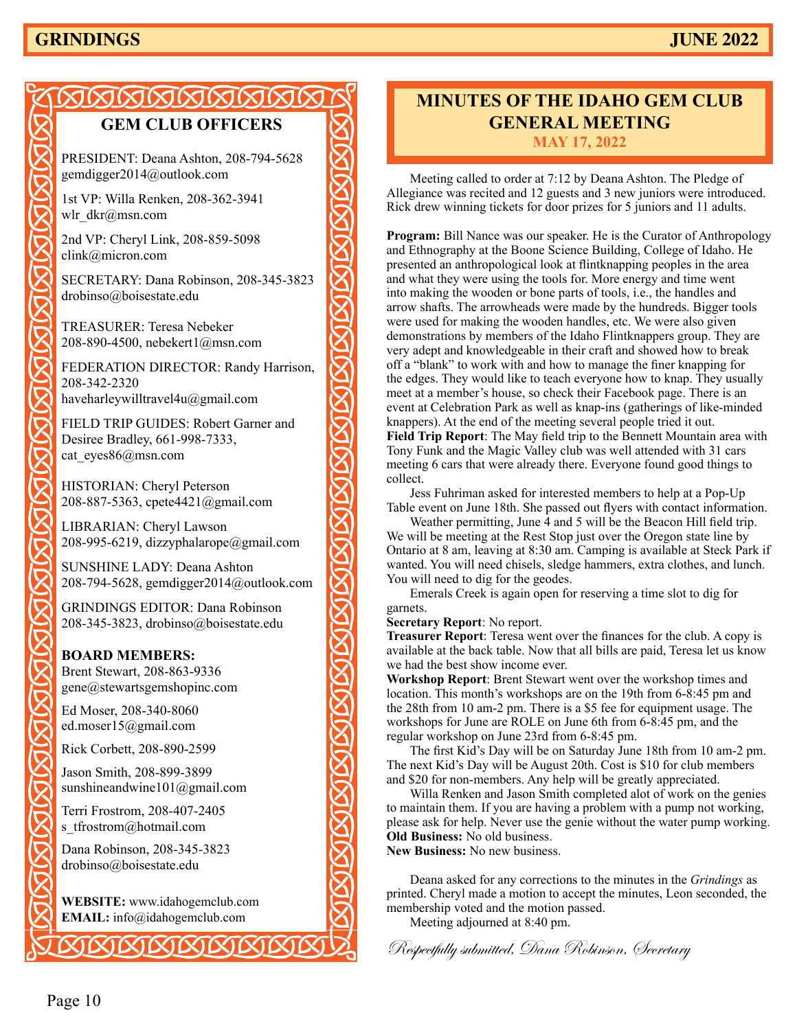# **GRINDINGS JUNE 2022**

# <u>JAARARARA</u> **GEM CLUB OFFICERS** PRESIDENT: Deana Ashton, 208-794-5628 gemdigger2014@outlook.com 1st VP: Willa Renken, 208-362-3941 wlr\_dkr@msn.com 2nd VP: Cheryl Link, 208-859-5098 clink@micron.com SECRETARY: Dana Robinson, 208-345-3823 drobinso@boisestate.edu TREASURER: Teresa Nebeker 208-890-4500, nebekert1@msn.com FEDERATION DIRECTOR: Randy Harrison, 208-342-2320 haveharleywilltravel4u@gmail.com FIELD TRIP GUIDES: Robert Garner and Desiree Bradley, 661-998-7333, cat\_eyes86@msn.com HISTORIAN: Cheryl Peterson 208-887-5363, cpete4421@gmail.com LIBRARIAN: Cheryl Lawson 208-995-6219, dizzyphalarope@gmail.com SUNSHINE LADY: Deana Ashton 208-794-5628, gemdigger2014@outlook.com GRINDINGS EDITOR: Dana Robinson 208-345-3823, drobinso@boisestate.edu **BOARD MEMBERS:** Brent Stewart, 208-863-9336 gene@stewartsgemshopinc.com Ed Moser, 208-340-8060 ed.moser15@gmail.com Rick Corbett, 208-890-2599 Jason Smith, 208-899-3899 sunshineandwine101@gmail.com Terri Frostrom, 208-407-2405 s\_tfrostrom@hotmail.com Dana Robinson, 208-345-3823 drobinso@boisestate.edu **WEBSITE:** www.idahogemclub.com **EMAIL:** info@idahogemclub.com

# **MINUTES OF THE IDAHO GEM CLUB GENERAL MEETING MAY 17, 2022**

Meeting called to order at 7:12 by Deana Ashton. The Pledge of Allegiance was recited and 12 guests and 3 new juniors were introduced. Rick drew winning tickets for door prizes for 5 juniors and 11 adults.

**Program:** Bill Nance was our speaker. He is the Curator of Anthropology and Ethnography at the Boone Science Building, College of Idaho. He presented an anthropological look at flintknapping peoples in the area and what they were using the tools for. More energy and time went into making the wooden or bone parts of tools, i.e., the handles and arrow shafts. The arrowheads were made by the hundreds. Bigger tools were used for making the wooden handles, etc. We were also given demonstrations by members of the Idaho Flintknappers group. They are very adept and knowledgeable in their craft and showed how to break off a "blank" to work with and how to manage the finer knapping for the edges. They would like to teach everyone how to knap. They usually meet at a member's house, so check their Facebook page. There is an event at Celebration Park as well as knap-ins (gatherings of like-minded knappers). At the end of the meeting several people tried it out. **Field Trip Report**: The May field trip to the Bennett Mountain area with Tony Funk and the Magic Valley club was well attended with 31 cars meeting 6 cars that were already there. Everyone found good things to collect.

Jess Fuhriman asked for interested members to help at a Pop-Up Table event on June 18th. She passed out flyers with contact information.

Weather permitting, June 4 and 5 will be the Beacon Hill field trip. We will be meeting at the Rest Stop just over the Oregon state line by Ontario at 8 am, leaving at 8:30 am. Camping is available at Steck Park if wanted. You will need chisels, sledge hammers, extra clothes, and lunch. You will need to dig for the geodes.

Emerals Creek is again open for reserving a time slot to dig for garnets.

**Secretary Report**: No report.

**Treasurer Report**: Teresa went over the finances for the club. A copy is available at the back table. Now that all bills are paid, Teresa let us know we had the best show income ever.

**Workshop Report**: Brent Stewart went over the workshop times and location. This month's workshops are on the 19th from 6-8:45 pm and the 28th from 10 am-2 pm. There is a \$5 fee for equipment usage. The workshops for June are ROLE on June 6th from 6-8:45 pm, and the regular workshop on June 23rd from 6-8:45 pm.

The first Kid's Day will be on Saturday June 18th from 10 am-2 pm. The next Kid's Day will be August 20th. Cost is \$10 for club members and \$20 for non-members. Any help will be greatly appreciated.

Willa Renken and Jason Smith completed alot of work on the genies to maintain them. If you are having a problem with a pump not working, please ask for help. Never use the genie without the water pump working. **Old Business:** No old business.

**New Business:** No new business.

Deana asked for any corrections to the minutes in the *Grindings* as printed. Cheryl made a motion to accept the minutes, Leon seconded, the membership voted and the motion passed.

Meeting adjourned at 8:40 pm.

Respectfully submitted, Dana Robinson, Secretary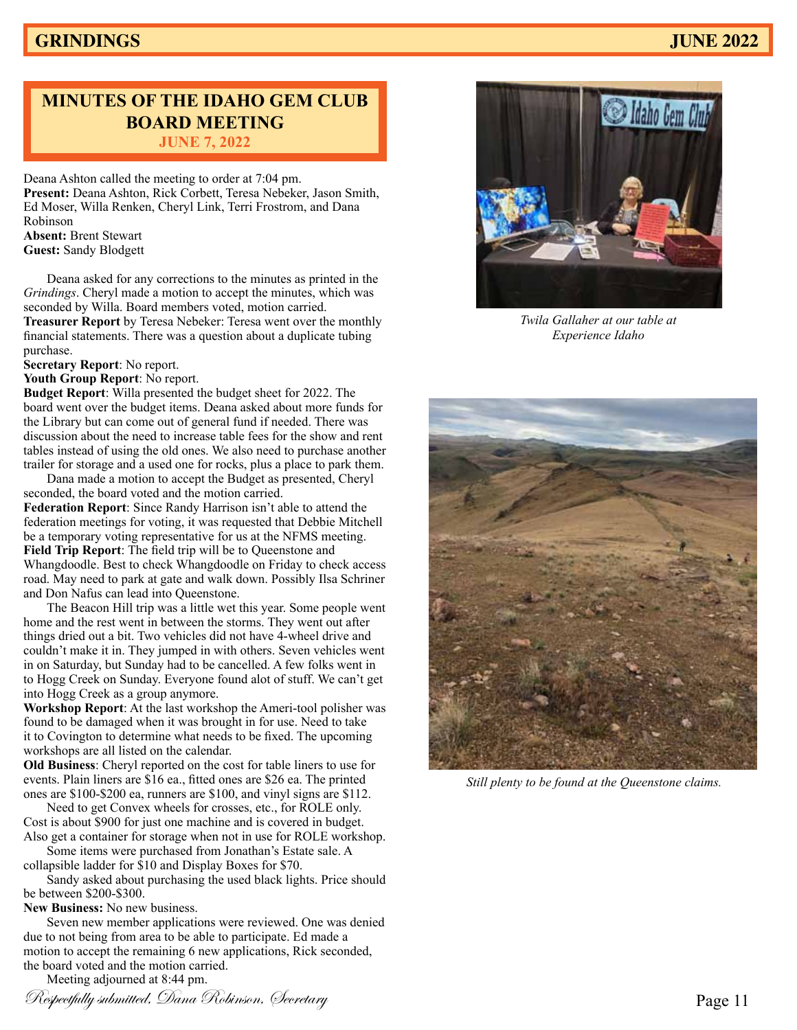# **MINUTES OF THE IDAHO GEM CLUB BOARD MEETING JUNE 7, 2022**

Deana Ashton called the meeting to order at 7:04 pm. **Present:** Deana Ashton, Rick Corbett, Teresa Nebeker, Jason Smith, Ed Moser, Willa Renken, Cheryl Link, Terri Frostrom, and Dana Robinson **Absent:** Brent Stewart

**Guest:** Sandy Blodgett

Deana asked for any corrections to the minutes as printed in the *Grindings*. Cheryl made a motion to accept the minutes, which was seconded by Willa. Board members voted, motion carried. **Treasurer Report** by Teresa Nebeker: Teresa went over the monthly financial statements. There was a question about a duplicate tubing purchase.

**Secretary Report**: No report.

**Youth Group Report**: No report.

**Budget Report**: Willa presented the budget sheet for 2022. The board went over the budget items. Deana asked about more funds for the Library but can come out of general fund if needed. There was discussion about the need to increase table fees for the show and rent tables instead of using the old ones. We also need to purchase another trailer for storage and a used one for rocks, plus a place to park them.

Dana made a motion to accept the Budget as presented, Cheryl seconded, the board voted and the motion carried. **Federation Report**: Since Randy Harrison isn't able to attend the federation meetings for voting, it was requested that Debbie Mitchell be a temporary voting representative for us at the NFMS meeting. **Field Trip Report**: The field trip will be to Queenstone and Whangdoodle. Best to check Whangdoodle on Friday to check access road. May need to park at gate and walk down. Possibly Ilsa Schriner and Don Nafus can lead into Queenstone.

The Beacon Hill trip was a little wet this year. Some people went home and the rest went in between the storms. They went out after things dried out a bit. Two vehicles did not have 4-wheel drive and couldn't make it in. They jumped in with others. Seven vehicles went in on Saturday, but Sunday had to be cancelled. A few folks went in to Hogg Creek on Sunday. Everyone found alot of stuff. We can't get into Hogg Creek as a group anymore.

**Workshop Report**: At the last workshop the Ameri-tool polisher was found to be damaged when it was brought in for use. Need to take it to Covington to determine what needs to be fixed. The upcoming workshops are all listed on the calendar.

**Old Business**: Cheryl reported on the cost for table liners to use for events. Plain liners are \$16 ea., fitted ones are \$26 ea. The printed ones are \$100-\$200 ea, runners are \$100, and vinyl signs are \$112.

Need to get Convex wheels for crosses, etc., for ROLE only. Cost is about \$900 for just one machine and is covered in budget. Also get a container for storage when not in use for ROLE workshop.

Some items were purchased from Jonathan's Estate sale. A collapsible ladder for \$10 and Display Boxes for \$70.

Sandy asked about purchasing the used black lights. Price should be between \$200-\$300.

**New Business:** No new business.

Seven new member applications were reviewed. One was denied due to not being from area to be able to participate. Ed made a motion to accept the remaining 6 new applications, Rick seconded, the board voted and the motion carried.

Meeting adjourned at 8:44 pm.





*Twila Gallaher at our table at Experience Idaho*



*Still plenty to be found at the Queenstone claims.*